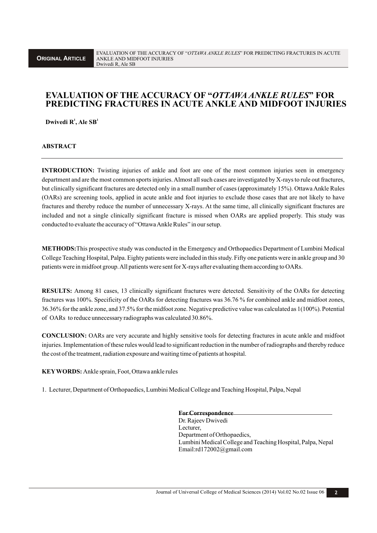# **EVALUATION OF THE ACCURACY OF "***OTTAWAANKLE RULES***" FOR PREDICTING FRACTURES IN ACUTE ANKLE AND MIDFOOT INJURIES**

**Dwivedi R**<sup>1</sup>, Ale  $SB<sup>1</sup>$ 

**ABSTRACT**

**INTRODUCTION:** Twisting injuries of ankle and foot are one of the most common injuries seen in emergency department and are the most common sports injuries. Almost all such cases are investigated by X-rays to rule out fractures, but clinically significant fractures are detected only in a small number of cases (approximately 15%). Ottawa Ankle Rules (OARs) are screening tools, applied in acute ankle and foot injuries to exclude those cases that are not likely to have fractures and thereby reduce the number of unnecessary X-rays. At the same time, all clinically significant fractures are included and not a single clinically significant fracture is missed when OARs are applied properly. This study was conducted to evaluate the accuracy of "Ottawa Ankle Rules" in our setup.

**METHODS:**This prospective study was conducted in the Emergency and Orthopaedics Department of Lumbini Medical College Teaching Hospital, Palpa. Eighty patients were included in this study.Fifty one patients were in ankle group and 30 patients were in midfoot group. All patients were sent for X-rays after evaluating them according to OARs.

**RESULTS:** Among 81 cases, 13 clinically significant fractures were detected. Sensitivity of the OARs for detecting fractures was 100%. Specificity of the OARs for detecting fractures was 36.76 % for combined ankle and midfoot zones, 36.36% for the ankle zone, and 37.5% for the midfoot zone. Negative predictive value was calculated as 1(100%). Potential of OARs to reduce unnecessary radiographs was calculated 30.86%.

**CONCLUSION:** OARs are very accurate and highly sensitive tools for detecting fractures in acute ankle and midfoot injuries. Implementation of these rules would lead to significant reduction in the number of radiographs and thereby reduce the cost of the treatment, radiation exposure and waiting time of patients at hospital.

**KEYWORDS:** Ankle sprain, Foot, Ottawa ankle rules

1. Lecturer, Department of Orthopaedics, Lumbini Medical College and Teaching Hospital, Palpa, Nepal

**ForCorrespondence** Dr. Rajeev Dwivedi Lecturer, Department of Orthopaedics, Lumbini Medical College and Teaching Hospital, Palpa, Nepal Email:rd172002@gmail.com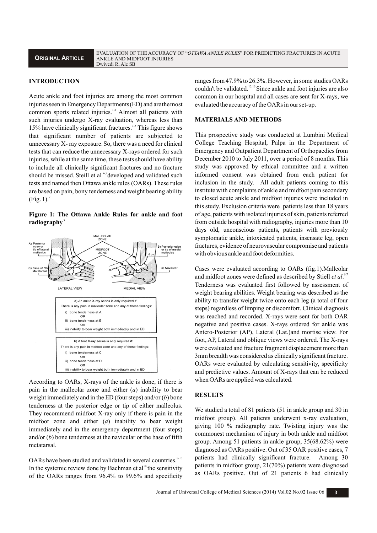## **INTRODUCTION**

Acute ankle and foot injuries are among the most common injuries seen in Emergency Departments(ED) and arethemost common sports related injuries.<sup>1,2</sup> Almost all patients with such injuries undergo X-ray evaluation, whereas less than 15% have clinically significant fractures.<sup>3-5</sup> This figure shows that significant number of patients are subjected to unnecessary X- ray exposure.So, there was a need for clinical tests that can reduce the unnecessary X-rays ordered for such injuries, while at the same time, these tests should have ability to include all clinically significant fractures and no fracture should be missed. Steill et al <sup>6,7</sup> developed and validated such tests and named then Ottawa ankle rules (OARs).These rules are based on pain, bony tenderness and weight bearing ability  $(Fig. 1).$ <sup>7</sup>

**Figure 1: The Ottawa Ankle Rules for ankle and foot 7 radiography** 



According to OARs, X-rays of the ankle is done, if there is pain in the malleolar zone and either (*a*) inability to bear weight immediately and in the ED (four steps) and/or (*b*) bone tenderness at the posterior edge or tip of either malleolus. They recommend midfoot X-ray only if there is pain in the midfoot zone and either (*a*) inability to bear weight immediately and in the emergency department (four steps) and/or (*b*) bone tenderness at the navicular or the base of fifth metatarsal.

OARs have been studied and validated in several countries.<sup>8-13</sup> In the systemic review done by Bachman et  $al<sup>14</sup>$  the sensitivity of the OARs ranges from 96.4% to 99.6% and specificity ranges from 47.9% to 26.3%. However, in some studies OARs couldn't be validated. <sup>15,16</sup> Since ankle and foot injuries are also common in our hospital and all cases are sent for X-rays, we evaluated the accuracy of the OARs in our set-up.

#### **MATERIALS AND METHODS**

This prospective study was conducted at Lumbini Medical College Teaching Hospital, Palpa in the Department of Emergency and Outpatient Department of Orthopaedics from December 2010 to July 2011, over a period of 8 months. This study was approved by ethical committee and a written informed consent was obtained from each patient for inclusion in the study. All adult patients coming to this institute with complaints of ankle and midfoot pain secondary to closed acute ankle and midfoot injuries were included in this study. Exclusion criteria were patients less than 18 years of age, patients with isolated injuries of skin, patients referred from outside hospital with radiography, injuries more than 10 days old, unconscious patients, patients with previously symptomatic ankle, intoxicated patients, insensate leg, open fractures, evidence of neurovascular compromise and patients with obvious ankle and foot deformities.

Cases were evaluated according to OARs (fig.1).Malleolar and midfoot zones were defined as described by Stiell *et al.*<sup>6,7</sup> Tenderness was evaluated first followed by assessment of weight bearing abilities. Weight bearing was described as the ability to transfer weight twice onto each leg (a total of four steps) regardless of limping or discomfort. Clinical diagnosis was reached and recorded. X-rays were sent for both OAR negative and positive cases. X-rays ordered for ankle was Antero-Posterior (AP), Lateral (Lat.)and mortise view. For foot, AP, Lateral and oblique views were ordered. The X-rays were evaluated and fracture fragment displacement more than 3mm breadth was considered as clinically significant fracture. OARs were evaluated by calculating sensitivity, specificity and predictive values. Amount of X-rays that can be reduced when OARs are applied was calculated.

#### **RESULTS**

We studied a total of 81 patients (51 in ankle group and 30 in midfoot group). All patients underwent x-ray evaluation, giving 100 % radiography rate. Twisting injury was the commonest mechanism of injury in both ankle and midfoot group. Among 51 patients in ankle group, 35(68.62%) were diagnosed as OARs positive. Out of 35 OAR positive cases, 7 patients had clinically significant fracture. Among 30 patients in midfoot group, 21(70%) patients were diagnosed as OARs positive. Out of 21 patients 6 had clinically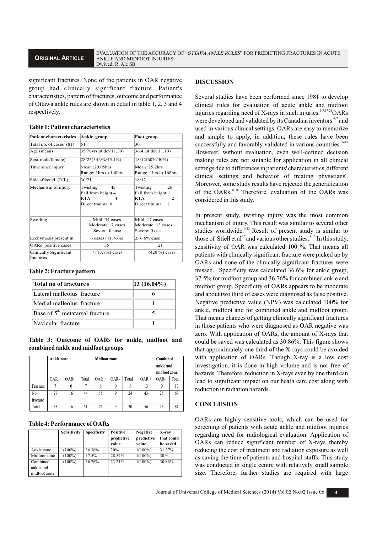## **ORIGINAL ARTICLE**

significant fractures. None of the patients in OAR negative group had clinically significant fracture. Patient's characteristics, pattern of fractures, outcome and performance of Ottawa ankle rules are shown in detail in table 1, 2, 3 and 4 respectively.

|  |  | Table 1: Patient characteristics |
|--|--|----------------------------------|
|--|--|----------------------------------|

| <b>Patient characteristics</b>             | Ankle group                                                         | Foot group                                                             |  |  |
|--------------------------------------------|---------------------------------------------------------------------|------------------------------------------------------------------------|--|--|
| Total no. of cases (81)                    | 51                                                                  | 30                                                                     |  |  |
| Age (mean)                                 | 35.78yrs(st.dev.11.39)                                              | 36.4 (st.dev.11.19)                                                    |  |  |
| Sex(male/female)                           | 28/23(54.9%/45.1%)                                                  | 18/12(60%/40%)                                                         |  |  |
| Time since injury                          | Mean ∙20 05hrs<br>Range: 1hrs to 140hrs                             | Mean ·25 2hrs<br>Range :1hrs to 168hrs                                 |  |  |
| Side affected (R/L)                        | 30/21                                                               | 18/12                                                                  |  |  |
| Mechanism of injury                        | Twisting<br>43<br>Fall from height 4<br>RTA<br>4<br>Direct trauma 0 | Twisting<br>26<br>Fall from height 1<br>RTA<br>2<br>Direct trauma<br>L |  |  |
| Swelling                                   | Mild:34 cases<br>Moderate: 17 cases<br>Severe: 0 case               | Mild:17 cases<br>Moderate :13 cases<br>Severe: 0 case                  |  |  |
| Ecchymosis present in                      | 6 cases $(11.76%)$                                                  | $2(6.6\%)$ case                                                        |  |  |
| OARs positive cases                        | 35                                                                  | 21                                                                     |  |  |
| Clinically Significant<br><i>fractures</i> | $7(13.7%)$ cases                                                    | $6(20\%)$ cases                                                        |  |  |

#### **Table 2: Fracture pattern**

| Total no of fractures             | $ 13 \ (16.04\%)$ |
|-----------------------------------|-------------------|
| Lateral malleolus fracture        |                   |
| Medial malleolus fracture         |                   |
| Base of $5th$ metatarsal fracture |                   |
| Navicular fracture                |                   |

**Table 3: Outcome of OARs for ankle, midfoot and combined ankle and midfoot groups**

|                | Ankle zone |          |       | <b>Midfoot zone</b> |          |       |         | Combined<br>ankle and<br>midfoot zone |       |
|----------------|------------|----------|-------|---------------------|----------|-------|---------|---------------------------------------|-------|
|                | $OAR +$    | OAR-     | Total | $OAR +$             | OAR-     | Total | $OAR +$ | OAR-                                  | Total |
| Fracture       | 7          | $\theta$ |       | 6                   | $\theta$ | 6     | 13      | $\theta$                              | 13    |
| N <sub>0</sub> | 28         | 16       | 44    | 15                  | 9        | 24    | 43      | 25                                    | 68    |
| fracture       |            |          |       |                     |          |       |         |                                       |       |
| Total          | 35         | 16       | 51    | 21                  | 9        | 30    | 56      | 25                                    | 81    |

## **Table 4: Performance of OARs**

|                                       | Sensitivity | Specificity | <b>Positive</b><br>predictive<br>value | <b>Negative</b><br>predictive<br>value | X-ray<br>that could<br>be saved |
|---------------------------------------|-------------|-------------|----------------------------------------|----------------------------------------|---------------------------------|
| Ankle zone                            | $1(100\%)$  | 36.36%      | 20%                                    | $1(100\%)$                             | 31.37%                          |
| Midfoot zone                          | $1(100\%)$  | 37.5%       | 28.57%                                 | $1(100\%)$                             | 30%                             |
| Combined<br>ankle and<br>midfoot zone | $1(100\%)$  | 36.76%      | 23.21%                                 | $1(100\%)$                             | 30.86%                          |

### **DISCUSSION**

Several studies have been performed since 1981 to develop clinical rules for evaluation of acute ankle and midfoot injuries regarding need of X-rays in such injuries.<sup>5.7,17-21</sup>OARs were developed and validated by its Canadian inventors<sup>6,7</sup> and used in various clinical settings. OARs are easy to memorize and simple to apply, in addition, these rules have been successfully and favorably validated in various countries.  $6-13$ However, without evaluation, even well-defined decision making rules are not suitable for application in all clinical settings due to differences in patients' characteristics, different clinical settings and behavior of treating physicians'. Moreover, some study results have rejected thegeneralization of the OARs.<sup>15,16</sup> Therefore, evaluation of the OARs was considered in this study.

In present study, twisting injury was the most common mechanism of injury. This result was similar to several other studies worldwide.<sup>6-13</sup> Result of present study is similar to those of Stiell et al<sup>6,7</sup> and various other studies.  $8-13$  In this study, sensitivity of OAR was calculated 100 %. That means all patients with clinically significant fracture were picked up by OARs and none of the clinically significant fractures were missed. Specificity was calculated 36.6% for ankle group, 37.5% for midfoot group and 36.76% for combined ankle and midfoot group. Specificity of OARs appears to be moderate and about two third of cases were diagnosed as false positive. Negative predictive value (NPV) was calculated 100% for ankle, midfoot and for combined ankle and midfoot group. That means chances of getting clinically significant fractures in those patients who were diagnosed as OAR negative was zero. With application of OARs, the amount of X-rays that could be saved was calculated as 30.86%. This figure shows that approximately one third of the X-rays could be avoided with application of OARs. Though X-ray is a low cost investigation, it is done in high volume and is not free of hazards. Therefore, reduction in X-rays even by one third can lead to significant impact on our heath care cost along with reduction in radiation hazards.

## **CONCLUSION**

OARs are highly sensitive tools, which can be used for screening of patients with acute ankle and midfoot injuries regarding need for radiological evaluation. Application of OARs can reduce significant number of X-rays thereby reducing the cost of treatment and radiation exposure as well as saving the time of patients and hospital staffs. This study was conducted in single centre with relatively small sample size. Therefore, further studies are required with large